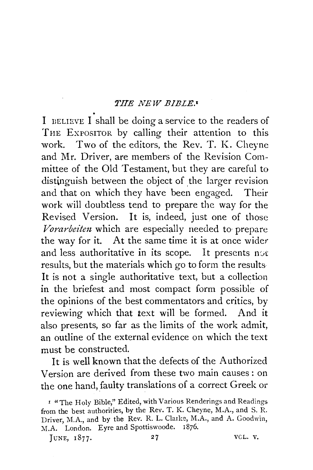**THE NEW BIBLE.•**<br>I BELIEVE I shall be doing a service to the readers of THE EXPOSITOR by calling their attention to this work. Two of the editors, the Rev. T. K. Cheyne and Mr. Driver, are members of the Revision Committee of the Old Testament, but they are careful to distinguish between the object of the larger revision and that on which they have been engaged. Their work will doubtless tend to prepare the way for the Revised Version. It is, indeed, just one of those *Vorarbeiten* which are especially needed to prepare the way for it. At the same time it is at once wider and less authoritative in its scope. It presents not results, but the materials which go to form the results It is not a single authoritative text, but a collection in the briefest and most compact form possible of the opinions of the best commentators and critics, by reviewing which that text will be formed. And it also presents, so far as the limits of the work admit, an outline of the external evidence on which the text must be constructed.

It is well known that the defects of the Authorized Version are derived from these two main causes : on the one hand, faulty translations of a correct Greek or

JUNE, 1877. 27 VCL. V.

<sup>&#</sup>x27; "The Holv Bible," Edited, with Various Renderings and Readings from the best authorities, by the Rev. T. K. Cheyne, M.A., and S. R. Driver, M.A., and by the Rev. R. L. Clarke, M.A., and A. Goodwin, M.A. London. Eyre and Spottiswoode. 1876.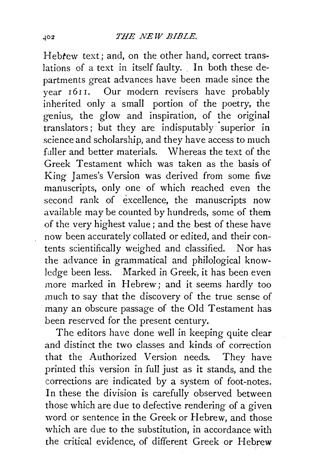Hebtew text; and, on the other hand, correct translations of a text in itself faulty. In both these departments great advances have been made since the year 1611. Our modern revisers have probably inherited only a small portion of the poetry, the genius, the glow and inspiration, of the original translators; but they are indisputably superior in science and scholarship, and they have access to much fuller and better materials. Whereas the text of the Greek Testament which was taken as the basis of King James's Version was derived from some five manuscripts, only one of which reached even the second rank of excellence, the manuscripts now available may be counted by hundreds, some of them of the very highest value; and the best of these have now been accurately collated or edited, and their contents scientifically weighed and classified. Nor has the advance in grammatical and philological knowledge been less. Marked in Greek, it has been even more marked in Hebrew; and it seems hardly too much to say that the discovery of the true sense of many an obscure passage of the Old Testament has been reserved for the present century.

The editors have done well in keeping quite clear and distinct the two classes and kinds of correction that the Authorized Version needs. They have printed this version in full just as it stands, and the corrections are indicated by a system of foot-notes. In these the division is carefully observed between those which are due to defective rendering of a given word or sentence in the Greek or Hebrew, and those which are due to the substitution, in accordance with the critical evidence, of different Greek or Hebrew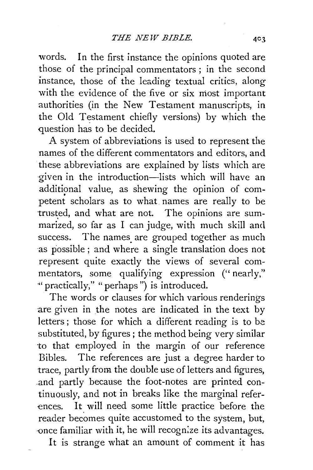words. In the first instance the opinions quoted are those of the principal commentators ; in the second instance, those of the leading textual critics, along with the evidence of the five or six most important authorities (in the New Testament manuscripts, in the Old Testament chiefly versions) by which the question has to be decided.

A system of abbreviations is used to represent the names of the different commentators and editors, and these abbreviations are explained by lists which are ·given in the introduction-lists which will have an additional value, as shewing the opinion of competent scholars as to what names are really to be trusted, and what are not. The opinions are summarized, so far as I can judge, with much skill and success. The names are grouped together as much as possible; and where a single translation does not represent quite exactly the views of several commentators, some qualifying expression ("nearly," "practically," "perhaps") is introduced.

The words or clauses for which various renderings are given in the notes are indicated in the text by letters ; those for which a different reading is to be substituted, by figures ; the method being very similar to that employed in the margin of our reference Bibles. The references are just a degree harder to trace, partly from the double use of letters and figures, .and partly because the foot-notes are printed continuously, and not in breaks like the marginal references. It will need some little practice before the reader becomes quite accustomed to the system, but, ·once familiar with it, he will recogn:ze its advantages.

It is strange what an amount of comment it has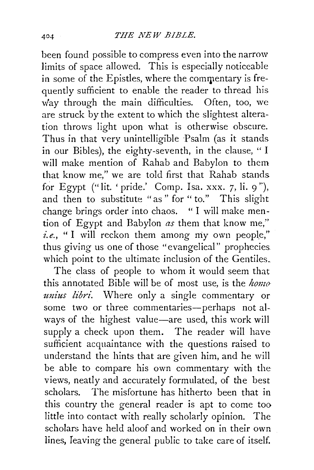been found possible to compress even into the narrow limits of space allowed. This is especially noticeable in some of the Epistles, where the commentary is frequently sufficient to enable the reader to thread his way through the main difficulties. Often, too, we are struck by the extent to which the slightest alteration throws light upon what is otherwise obscure. Thus in that very unintelligible Psalm (as it stands in our Bibles), the eighty-seventh, in the clause, " I will make mention of Rahab and Babylon to them that know me," we are told first that Rahab stands for Egypt ("lit. 'pride.' Comp. Isa. xxx. 7, li. 9"), and then to substitute "as" for "to." This slight change brings order into chaos. " I will make mention of Egypt and Babylon *as* them that know me,''  $i.e.,$  "I will reckon them among my own people," thus giving us one of those "evangelical" prophecies which point to the ultimate inclusion of the Gentiles.

The class of people to whom it would seem that this annotated Bible will be of most use, is the *homo unius libri*. Where only a single commentary or some two or three commentaries-perhaps not always of the highest value-are used, this work will supply a check upon them. The reader will have sufficient acquaintance with the questions raised to understand the hints that are given him, and he will be able to compare his own commentary with the views, neatly and accurately formulated, of the best scholars. The misfortune has hitherto been that in this country the general reader is apt to come too little into contact with really scholarly opinion. The scholars have held aloof and worked on in their own lines, Ieaving the general public to take care of itself.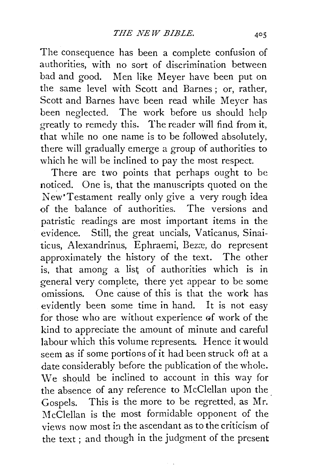The consequence has been a complete confusion of authorities, with no sort of discrimination between bad and good. Men like Meyer have been put on the same level with Scott and Barnes; or, rather, Scott and Barnes have been read while Meyer has been neglected. The work before us should help greatly to remedy this. The reader will find from it, that while no one name is to be followed absolutely, there will gradually emerge a group of authorities to which he will be inclined to pay the most respect.

There are two points that perhaps ought to be noticed. One is, that the manuscripts quoted on the New'Testament really only give a very rough idea of the balance of authorities. The versions and patristic readings are most important items in the evidence. Still, the great uncials, Vaticanus, Sinaiticus, Alexandrinus, Ephraemi, Bezæ, do represent approximately the history of the text. The other is, that among a list of authorities which is in general very complete, there yet appear to be some omissions. One cause of this is that the work has evidently been some time in hand. It is not easy for those who are without experience of work of the kind to appreciate the amount of minute and careful labour which this volume represents. Hence it would seem as if some portions of it had been struck oft at a date considerably before the publication of the whole. We should be inclined to account in this way for the absence of any reference to McClellan upon the Gospels. This is the more to be regretted, as Mr. McClellan is the most formidable opponent of the views now most in the ascendant as to the criticism of the text ; and though in the judgment of the present